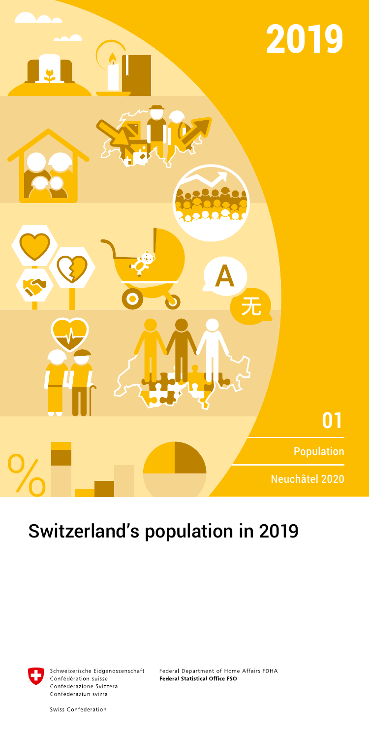

# Switzerland's population in 2019



Schweizerische Eidgenossenschaft Confédération suisse Confederazione Svizzera Confederaziun svizra

Federal Department of Home Affairs FDHA Federal Statistical Office FSO

Swiss Confederation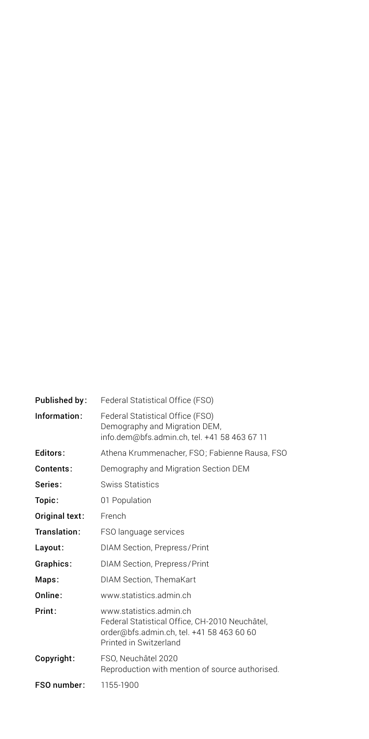| Published by:  | Federal Statistical Office (FSO)                                                                                                                 |
|----------------|--------------------------------------------------------------------------------------------------------------------------------------------------|
| Information:   | Federal Statistical Office (FSO)<br>Demography and Migration DEM,<br>info.dem@bfs.admin.ch, tel. +41 58 463 67 11                                |
| Editors:       | Athena Krummenacher, FSO; Fabienne Rausa, FSO                                                                                                    |
| Contents:      | Demography and Migration Section DEM                                                                                                             |
| Series:        | Swiss Statistics                                                                                                                                 |
| Topic:         | 01 Population                                                                                                                                    |
| Original text: | French                                                                                                                                           |
| Translation:   | FSO language services                                                                                                                            |
| Layout:        | DIAM Section, Prepress/Print                                                                                                                     |
| Graphics:      | DIAM Section, Prepress/Print                                                                                                                     |
| Maps:          | DIAM Section, ThemaKart                                                                                                                          |
| Online:        | www.statistics.admin.ch                                                                                                                          |
| Print:         | www.statistics.admin.ch<br>Federal Statistical Office, CH-2010 Neuchâtel,<br>order@bfs.admin.ch, tel. +41 58 463 60 60<br>Printed in Switzerland |
| Copyright:     | FSO, Neuchâtel 2020<br>Reproduction with mention of source authorised.                                                                           |
| FSO number:    | 1155-1900                                                                                                                                        |
|                |                                                                                                                                                  |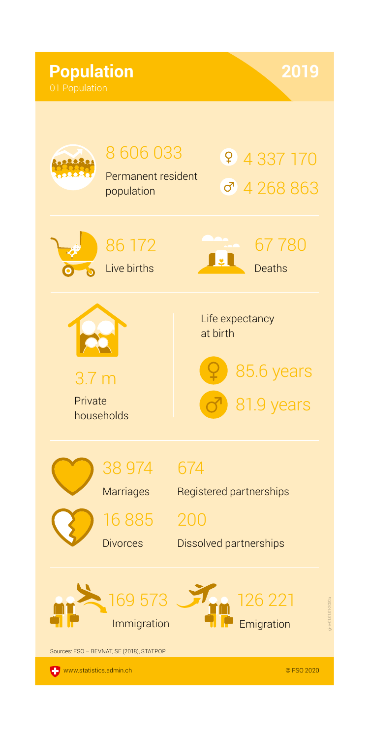# **Population**

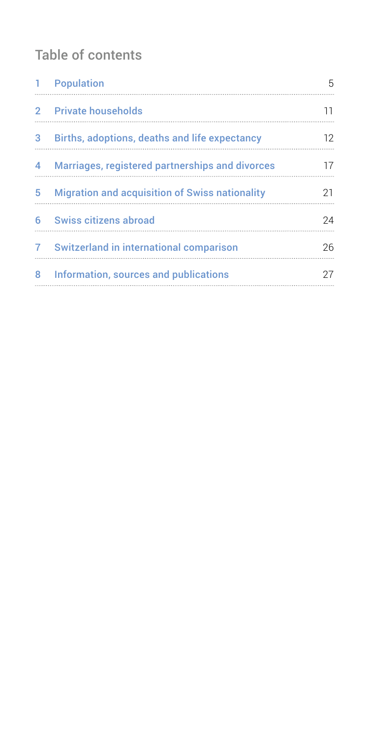# Table of contents

| ı.            | Population                                            | 5  |
|---------------|-------------------------------------------------------|----|
| $\mathcal{P}$ | <b>Private households</b>                             | 11 |
| 3             | Births, adoptions, deaths and life expectancy         | 12 |
| 4             | Marriages, registered partnerships and divorces       | 17 |
| 5             | <b>Migration and acquisition of Swiss nationality</b> | 21 |
| 6             | Swiss citizens abroad                                 | 24 |
| 7             | Switzerland in international comparison               | 26 |
| 8             | Information, sources and publications                 | 27 |
|               |                                                       |    |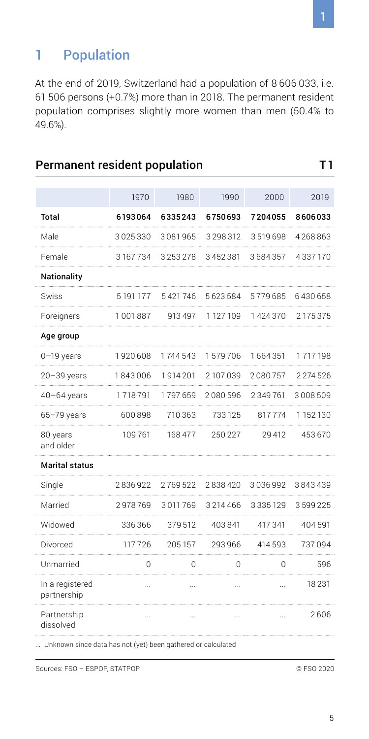# <span id="page-4-0"></span>1 Population

At the end of 2019, Switzerland had a population of 8 606 033, i.e. 61 506 persons (+0.7%) more than in 2018. The permanent resident population comprises slightly more women than men (50.4% to 49.6%).

Permanent resident population T1

|                                | 1970      | 1980      | 1990      | 2000     | 2019      |
|--------------------------------|-----------|-----------|-----------|----------|-----------|
| Total                          | 6193064   | 6335243   | 6750693   | 7204055  | 8606033   |
| Male                           | 3025330   | 3081965   | 3 298 312 | 3519698  | 4268863   |
| Female                         | 3167734   | 3253278   | 3452381   | 3684357  | 4337170   |
| Nationality                    |           |           |           |          |           |
| Swiss                          | 5 191 177 | 5421746   | 5623584   | 5779685  | 6430658   |
| Foreigners                     | 1001887   | 913497    | 1 127 109 | 1424370  | 2 175 375 |
| Age group                      |           |           |           |          |           |
| $0-19$ years                   | 1920608   | 1744543   | 1579706   | 1664351  | 1717198   |
| $20 - 39$ years                | 1843006   | 1914201   | 2107039   | 2080757  | 2 274 526 |
| $40 - 64$ years                | 1718791   | 1797659   | 2080596   | 2349761  | 3008509   |
| $65 - 79$ years                | 600898    | 710363    | 733 125   | 817774   | 1 152 130 |
| 80 years<br>and older          | 109761    | 168 477   | 250 227   | 29412    | 453670    |
| Marital status                 |           |           |           |          |           |
| Single                         | 2836922   | 2769522   | 2838420   | 3036992  | 3843439   |
| Married                        | 2978769   | 3011769   | 3214466   | 3335129  | 3599225   |
| Widowed                        | 336366    | 379512    | 403841    | 417341   | 404 591   |
| Divorced                       | 117726    | 205 157   | 293966    | 414 593  | 737094    |
| Unmarried                      | 0         | 0         | 0         | 0        | 596       |
| In a registered<br>partnership | $\ddotsc$ | $\ddotsc$ | $\ddotsc$ | $\cdots$ | 18231     |
| Partnership<br>dissolved       | .         |           |           | $\cdots$ | 2606      |

... Unknown since data has not (yet) been gathered or calculated

Sources: FSO – ESPOP, STATPOP © FSO 2020

1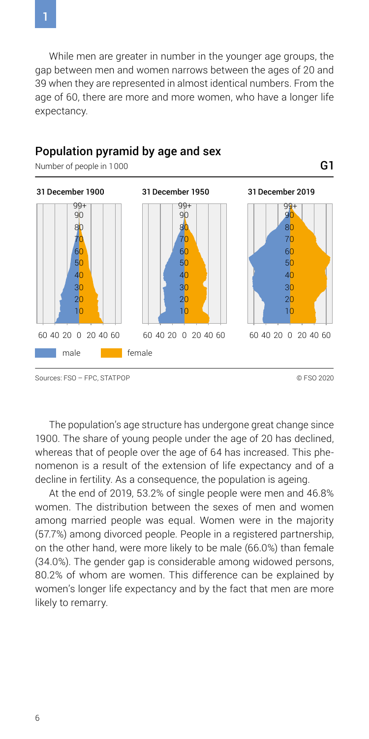While men are greater in number in the younger age groups, the gap between men and women narrows between the ages of 20 and 39 when they are represented in almost identical numbers. From the age of 60, there are more and more women, who have a longer life expectancy.

G1



#### Population pyramid by age and sex

Number of people in 1000

Sources: FSO – FPC, STATPOP © FSO 2020

The population's age structure has undergone great change since 1900. The share of young people under the age of 20 has declined, whereas that of people over the age of 64 has increased. This phenomenon is a result of the extension of life expectancy and of a decline in fertility. As a consequence, the population is ageing.

At the end of 2019, 53.2% of single people were men and 46.8% women. The distribution between the sexes of men and women among married people was equal. Women were in the majority (57.7%) among divorced people. People in a registered partnership, on the other hand, were more likely to be male (66.0%) than female (34.0%). The gender gap is considerable among widowed persons, 80.2% of whom are women. This difference can be explained by women's longer life expectancy and by the fact that men are more likely to remarry.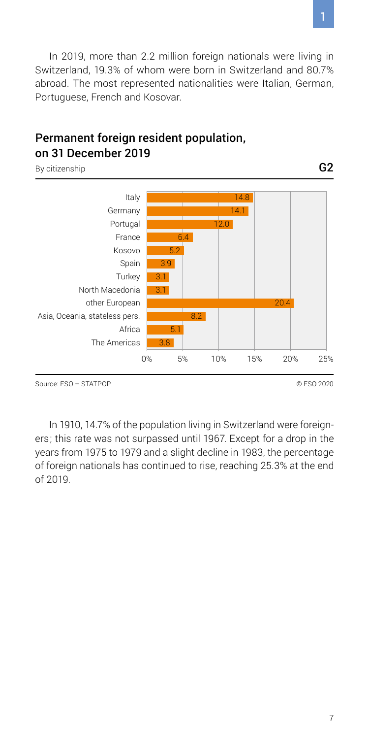In 2019, more than 2.2 million foreign nationals were living in Switzerland, 19.3% of whom were born in Switzerland and 80.7% abroad. The most represented nationalities were Italian, German, Portuguese, French and Kosovar.

#### Permanent foreign resident population, on 31 December 2019

By citizenship



Source: FSO – STATPOP © FSO 2020

In 1910, 14.7% of the population living in Switzerland were foreigners; this rate was not surpassed until 1967. Except for a drop in the years from 1975 to 1979 and a slight decline in 1983, the percentage of foreign nationals has continued to rise, reaching 25.3% at the end of 2019.

G2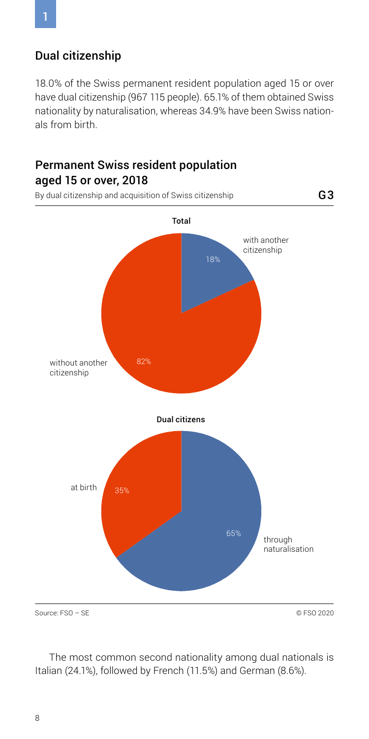#### Dual citizenship

18.0% of the Swiss permanent resident population aged 15 or over have dual citizenship (967 115 people). 65.1% of them obtained Swiss nationality by naturalisation, whereas 34.9% have been Swiss nationals from birth.

### Permanent Swiss resident population aged 15 or over, 2018



The most common second nationality among dual nationals is Italian (24.1%), followed by French (11.5%) and German (8.6%).

1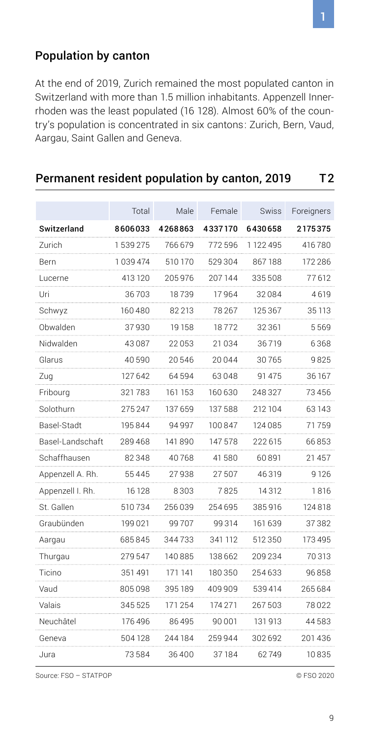#### Population by canton

At the end of 2019, Zurich remained the most populated canton in Switzerland with more than 1.5 million inhabitants. Appenzell Innerrhoden was the least populated (16 128). Almost 60% of the country's population is concentrated in six cantons: Zurich, Bern, Vaud, Aargau, Saint Gallen and Geneva.

|                  | Total        | Male       | Female  | Swiss     | Foreigners |
|------------------|--------------|------------|---------|-----------|------------|
| Switzerland      | 8606033      | 4268863    | 4337170 | 6430658   | 2175375    |
| Zurich<br>.      | 1539275      | 766 679    | 772596  | 1 122 495 | 416780     |
| Bern<br>.        | 1039474<br>. | 510170     | 529304  | 867188    | 172 286    |
| Lucerne          | 413 120      | 205976     | 207144  | 335508    | 77612      |
| Uri<br>.         | 36703        | 18739      | 17964   | 32084     | 4619       |
| Schwyz           | 160480       | 82 213     | 78 267  | 125 367   | 35 113     |
| Obwalden         | 37930        | 19158      | 18772   | 32361     | 5569       |
| Nidwalden        | 43087        | 22053<br>. | 21034   | 36719     | 6368       |
| Glarus           | 40590        | 20546      | 20044   | 30765     | 9825       |
| Zua              | 127 642      | 64594      | 63048   | 91 475    | 36 167     |
| Fribourg         | 321 783      | 161 153    | 160 630 | 248327    | 73456      |
| Solothurn        | 275 247      | 137 659    | 137588  | 212 104   | 63 143     |
| Basel-Stadt      | 195844       | 94997      | 100847  | 124085    | 71759      |
| Basel-Landschaft | 289468       | 141 890    | 147578  | 222 615   | 66853      |
| Schaffhausen     | 82348        | 40 768     | 41580   | 60 891    | 21 457     |
| Appenzell A. Rh. | 55445        | 27938      | 27507   | 46319     | 9 1 2 6    |
| Appenzell I. Rh. | 16128        | 8303       | 7825    | 14 3 12   | 1 8 1 6    |
| St. Gallen       | 510734       | 256039     | 254695  | 385916    | 124 818    |
| Graubünden       | 199021       | 99707      | 99314   | 161 639   | 37382      |
| Aargau           | 685845       | 344733     | 341 112 | 512350    | 173495     |
| Thurgau          | 279547       | 140885     | 138662  | 209 234   | 70313      |
| Ticino           | 351491       | 171 141    | 180350  | 254633    | 96858      |
| Vaud             | 805098       | 395 189    | 409909  | 539414    | 265684     |
| Valais           | 345525       | 171 254    | 174 271 | 267503    | 78022      |
| Neuchâtel        | 176 496      | 86495      | 90001   | 131913    | 44583      |
| Geneva           | 504128       | 244184     | 259944  | 302692    | 201436     |
| Jura             | 73584        | 36400      | 37184   | 62749     | 10835      |

#### Permanent resident population by canton, 2019 T2

Source: FSO – STATPOP © FSO 2020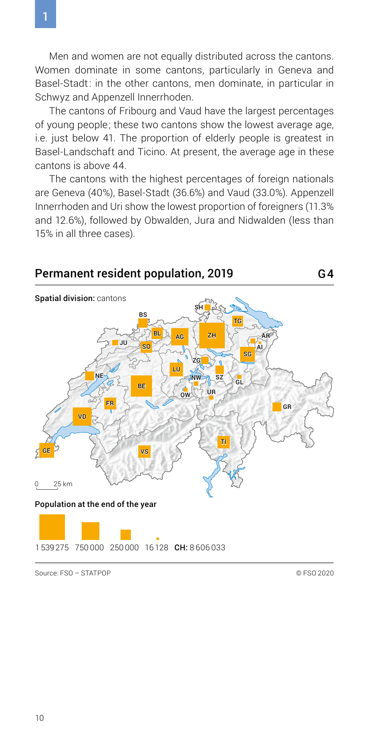Men and women are not equally distributed across the cantons. Women dominate in some cantons, particularly in Geneva and Basel-Stadt: in the other cantons, men dominate, in particular in Schwyz and Appenzell Innerrhoden.

The cantons of Fribourg and Vaud have the largest percentages of young people; these two cantons show the lowest average age, i.e. just below 41. The proportion of elderly people is greatest in Basel-Landschaft and Ticino. At present, the average age in these cantons is above 44.

The cantons with the highest percentages of foreign nationals are Geneva (40%), Basel-Stadt (36.6%) and Vaud (33.0%). Appenzell Innerrhoden and Uri show the lowest proportion of foreigners (11.3% and 12.6%), followed by Obwalden, Jura and Nidwalden (less than 15% in all three cases).

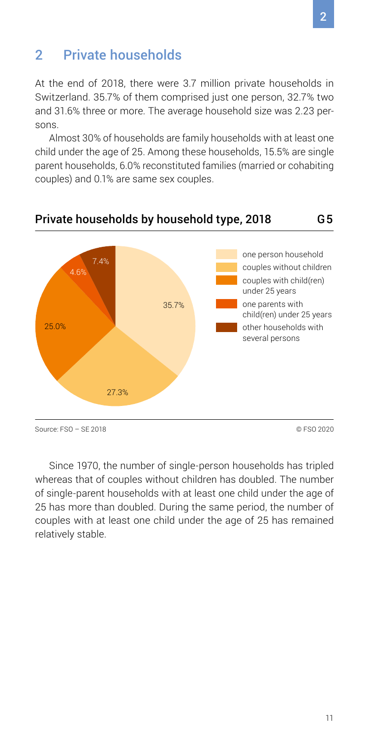## <span id="page-10-0"></span>2 Private households

At the end of 2018, there were 3.7 million private households in Switzerland. 35.7% of them comprised just one person, 32.7% two and 31.6% three or more. The average household size was 2.23 persons.

Almost 30% of households are family households with at least one child under the age of 25. Among these households, 15.5% are single parent households, 6.0% reconstituted families (married or cohabiting couples) and 0.1% are same sex couples.



# Private households by household type, 2018

Source: FSO – SE 2018 © FSO 2020

Since 1970, the number of single-person households has tripled whereas that of couples without children has doubled. The number of single-parent households with at least one child under the age of 25 has more than doubled. During the same period, the number of couples with at least one child under the age of 25 has remained relatively stable.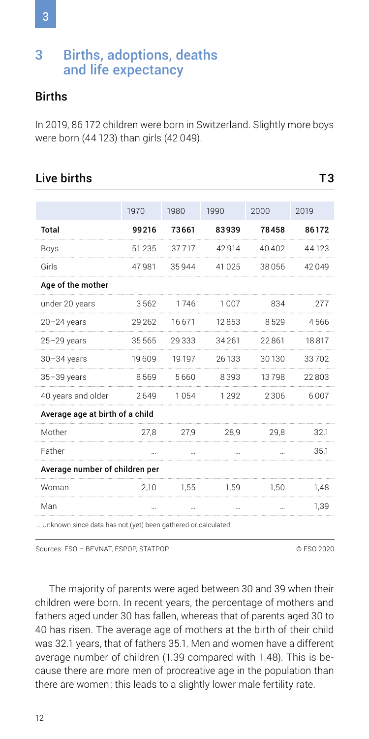## <span id="page-11-0"></span>3 Births, adoptions, deaths and life expectancy

#### **Births**

In 2019, 86 172 children were born in Switzerland. Slightly more boys were born (44 123) than girls (42 049).

#### Live births T3

|                                 | 1970    | 1980   | 1990    | 2000   | 2019  |
|---------------------------------|---------|--------|---------|--------|-------|
| Total                           | 99216   | 73661  | 83939   | 78458  | 86172 |
| Boys                            | 51235   | 37717  | 42 9 14 | 40402  | 44123 |
| Girls                           | 47981   | 35944  | 41 0 25 | 38056  | 42049 |
| Age of the mother               |         |        |         |        |       |
| under 20 years                  | 3562    | 1746   | 1007    | 834    | 277   |
| 20-24 years                     | 29 26 2 | 16671  | 12853   | 8529   | 4566  |
| $25 - 29$ years                 | 35565   | 29333  | 34 26 1 | 22861  | 18817 |
| $30 - 34$ years                 | 19609   | 19 197 | 26 133  | 30 130 | 33702 |
| 35-39 years                     | 8569    | 5660   | 8393    | 13798  | 22803 |
| 40 years and older              | 2649    | 1054   | 1292    | 2306   | 6007  |
| Average age at birth of a child |         |        |         |        |       |
| Mother                          | 27.8    | 27.9   | 28.9    | 29.8   | 32,1  |
| Father                          |         |        |         |        | 35,1  |
| Average number of children per  |         |        |         |        |       |
| Woman                           | 2.10    | 1.55   | 1.59    | 1.50   | 1,48  |
| Man                             |         |        |         |        | 1,39  |
|                                 |         |        |         |        |       |

... Unknown since data has not (yet) been gathered or calculated

Sources: FSO – BEVNAT, ESPOP, STATPOP © FSO 2020

The majority of parents were aged between 30 and 39 when their children were born. In recent years, the percentage of mothers and fathers aged under 30 has fallen, whereas that of parents aged 30 to 40 has risen. The average age of mothers at the birth of their child was 32.1 years, that of fathers 35.1. Men and women have a different average number of children (1.39 compared with 1.48). This is because there are more men of procreative age in the population than there are women; this leads to a slightly lower male fertility rate.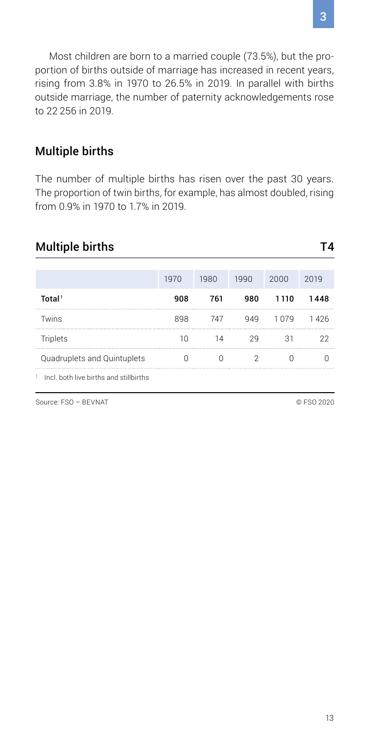Most children are born to a married couple (73.5%), but the proportion of births outside of marriage has increased in recent years, rising from 3.8% in 1970 to 26.5% in 2019. In parallel with births outside marriage, the number of paternity acknowledgements rose to 22 256 in 2019.

#### Multiple births

The number of multiple births has risen over the past 30 years. The proportion of twin births, for example, has almost doubled, rising from 0.9% in 1970 to 1.7% in 2019.

### Multiple births T4

|                                        | 1970 | 1980 | 1990 | 2000  | 2019  |
|----------------------------------------|------|------|------|-------|-------|
| Total <sup>1</sup>                     | 908  | 761  | 980  | 1110  | 1448  |
| Twins                                  | 898  | 747  |      | 1 በ7ዓ | 1 426 |
| Triplets                               |      |      |      |       |       |
| Quadruplets and Quintuplets            |      |      |      |       |       |
| Incl. both live births and stillbirths |      |      |      |       |       |

Source: FSO – BEVNAT © FSO 2020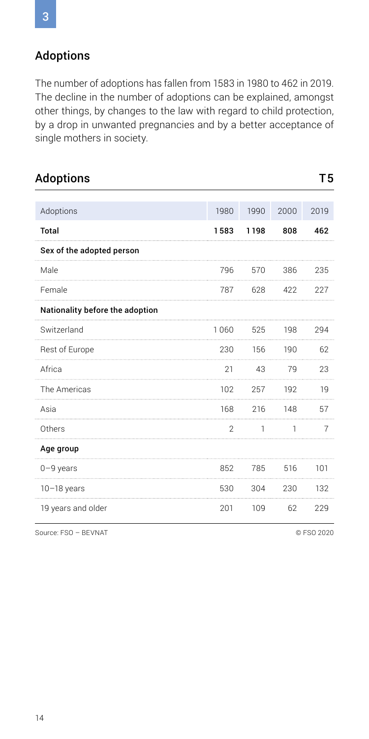### Adoptions

The number of adoptions has fallen from 1583 in 1980 to 462 in 2019. The decline in the number of adoptions can be explained, amongst other things, by changes to the law with regard to child protection, by a drop in unwanted pregnancies and by a better acceptance of single mothers in society.

| <b>Adoptions</b>                |      |      |      | T5   |
|---------------------------------|------|------|------|------|
| Adoptions                       | 1980 | 1990 | 2000 | 2019 |
| <b>Total</b>                    | 1583 | 1198 | 808  | 462  |
| Sex of the adopted person       |      |      |      |      |
| Male                            | 796  | 570  | 386  | 235  |
| Female                          | 787  | 628  | 422  | 227  |
| Nationality before the adoption |      |      |      |      |
| Switzerland                     | 1060 | 525  | 198  | 294  |
| Rest of Europe                  | 230  | 156  | 190  | 62   |
| Africa                          | 21   | 43   | 79   | 23   |
| The Americas                    | 102  | 257  | 192  | 19   |
| Asia                            | 168  | 216  | 148  | 57   |
| Others                          | 2    | ٦    | ٦    | 7    |
| Age group                       |      |      |      |      |
| $0 - 9$ years                   | 852  | 785  | 516  | 101  |
| $10-18$ years                   | 530  | 304  | 230  | 132  |
| 19 years and older              | 201  | 109  | 62   | 229  |

Source: FSO – BEVNAT © FSO 2020

3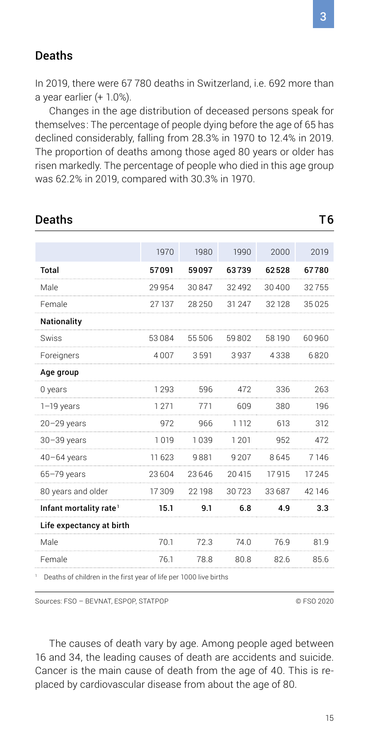#### Deaths

In 2019, there were 67 780 deaths in Switzerland, i.e. 692 more than a year earlier (+ 1.0%).

Changes in the age distribution of deceased persons speak for themselves: The percentage of people dying before the age of 65 has declined considerably, falling from 28.3% in 1970 to 12.4% in 2019. The proportion of deaths among those aged 80 years or older has risen markedly. The percentage of people who died in this age group was 62.2% in 2019, compared with 30.3% in 1970.

| Deaths                             |         |        |         |         | Τ6     |
|------------------------------------|---------|--------|---------|---------|--------|
|                                    |         |        |         |         |        |
|                                    | 1970    | 1980   | 1990    | 2000    | 2019   |
| <b>Total</b>                       | 57091   | 59097  | 63739   | 62528   | 67780  |
| Male                               | 29954   | 30847  | 32492   | 30400   | 32755  |
| Female                             | 27 137  | 28250  | 31 247  | 32 1 28 | 35025  |
| Nationality                        |         |        |         |         |        |
| Swiss                              | 53084   | 55506  | 59802   | 58 190  | 60960  |
| Foreigners                         | 4007    | 3591   | 3937    | 4338    | 6820   |
| Age group                          |         |        |         |         |        |
| 0 years                            | 1293    | 596    | 472     | 336     | 263    |
| $1-19$ years                       | 1271    | 771    | 609     | 380     | 196    |
| $20 - 29$ years                    | 972     | 966    | 1 1 1 2 | 613     | 312    |
| $30 - 39$ years                    | 1019    | 1039   | 1201    | 952     | 472    |
| $40 - 64$ years                    | 11 6 23 | 9881   | 9 2 0 7 | 8645    | 7146   |
| $65 - 79$ years                    | 23604   | 23646  | 20415   | 17915   | 17245  |
| 80 years and older                 | 17309   | 22 198 | 30723   | 33687   | 42 146 |
| Infant mortality rate <sup>1</sup> | 15.1    | 9.1    | 6.8     | 4.9     | 3.3    |
| Life expectancy at birth           |         |        |         |         |        |
| Male                               | 70.1    | 72.3   | 74.0    | 76.9    | 81.9   |
| Female                             | 76.1    | 78.8   | 80.8    | 82.6    | 85.6   |
|                                    |         |        |         |         |        |

<sup>1</sup> Deaths of children in the first year of life per 1000 live births

Sources: FSO – BEVNAT, ESPOP, STATPOP © FSO 2020

The causes of death vary by age. Among people aged between 16 and 34, the leading causes of death are accidents and suicide. Cancer is the main cause of death from the age of 40. This is replaced by cardiovascular disease from about the age of 80.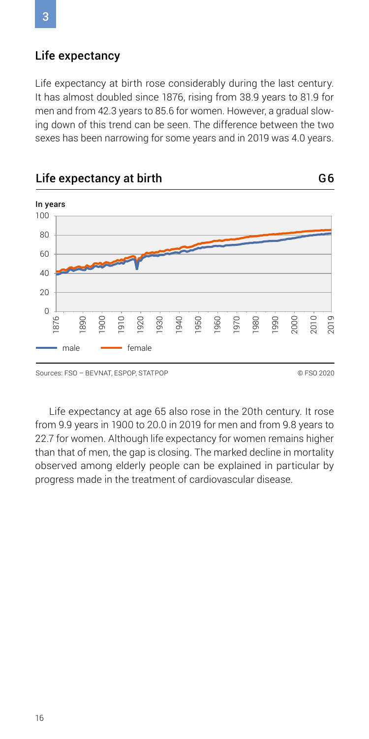#### Life expectancy

Life expectancy at birth rose considerably during the last century. It has almost doubled since 1876, rising from 38.9 years to 81.9 for men and from 42.3 years to 85.6 for women. However, a gradual slowing down of this trend can be seen. The difference between the two sexes has been narrowing for some years and in 2019 was 4.0 years.



Life expectancy at age 65 also rose in the 20th century. It rose from 9.9 years in 1900 to 20.0 in 2019 for men and from 9.8 years to 22.7 for women. Although life expectancy for women remains higher than that of men, the gap is closing. The marked decline in mortality observed among elderly people can be explained in particular by progress made in the treatment of cardiovascular disease.

3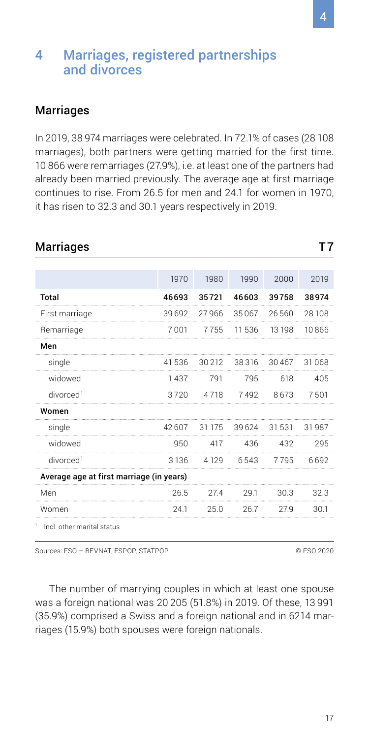### <span id="page-16-0"></span>4 Marriages, registered partnerships and divorces

#### Marriages

In 2019, 38 974 marriages were celebrated. In 72.1% of cases (28 108 marriages), both partners were getting married for the first time. 10 866 were remarriages (27.9%), i.e. at least one of the partners had already been married previously. The average age at first marriage continues to rise. From 26.5 for men and 24.1 for women in 1970, it has risen to 32.3 and 30.1 years respectively in 2019.

Marriages T7

|                                          | 1970    | 1980   | 1990    | 2000  | 2019   |  |  |  |
|------------------------------------------|---------|--------|---------|-------|--------|--|--|--|
| Total                                    | 46693   | 35721  | 46603   | 39758 | 38974  |  |  |  |
| First marriage                           | 39692   | 27966  | 35067   | 26560 | 28108  |  |  |  |
| Remarriage                               | 7001    | 7755   | 11536   | 13198 | 10866  |  |  |  |
| Men                                      |         |        |         |       |        |  |  |  |
| single                                   | 41 536  | 30 212 | 38316   | 30467 | 31 068 |  |  |  |
| widowed                                  | 1437    | 791    | 795     | 618   | 405    |  |  |  |
| divorced <sup>1</sup>                    | 3720    | 4718   | 7492    | 8673  | 7501   |  |  |  |
| Women                                    |         |        |         |       |        |  |  |  |
| single                                   | 42607   | 31 175 | 39 6 24 | 31531 | 31987  |  |  |  |
| widowed                                  | 950     | 417    | 436     | 432   | 295    |  |  |  |
| divorced <sup>1</sup>                    | 3 1 3 6 | 4129   | 6543    | 7795  | 6692   |  |  |  |
| Average age at first marriage (in years) |         |        |         |       |        |  |  |  |
| Men                                      | 26.5    | 27.4   | 29.1    | 30.3  | 32.3   |  |  |  |
| Women                                    | 24.1    | 25.0   | 26.7    | 27.9  | 30.1   |  |  |  |

Sources: FSO – BEVNAT, ESPOP, STATPOP © FSO 2020

The number of marrying couples in which at least one spouse was a foreign national was 20 205 (51.8%) in 2019. Of these, 13 991 (35.9%) comprised a Swiss and a foreign national and in 6214 marriages (15.9%) both spouses were foreign nationals.

17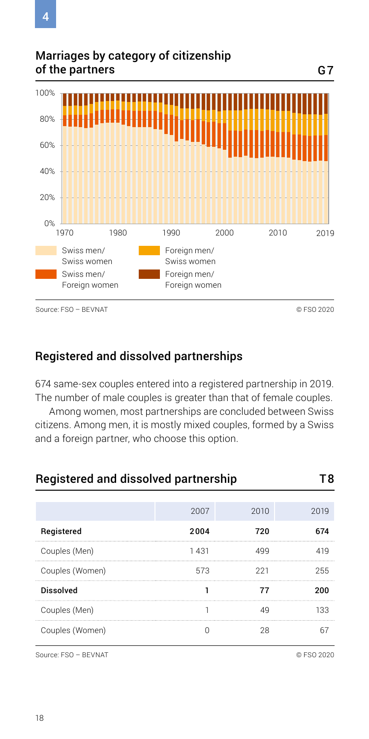Marriages by category of citizenship of the partners



### Registered and dissolved partnerships

674 same-sex couples entered into a registered partnership in 2019. The number of male couples is greater than that of female couples.

Among women, most partnerships are concluded between Swiss citizens. Among men, it is mostly mixed couples, formed by a Swiss and a foreign partner, who choose this option.

| Registered and dissolved partnership |      |      |      |  |  |  |
|--------------------------------------|------|------|------|--|--|--|
|                                      | 2007 | 2010 | 2019 |  |  |  |
| Registered                           | 2004 | 720  | 674  |  |  |  |
| Couples (Men)                        | 1431 |      | 419  |  |  |  |
| Couples (Women)                      | 573  | 221  | 255  |  |  |  |
| <b>Dissolved</b>                     |      |      | 200  |  |  |  |
| Couples (Men)                        |      |      | 133  |  |  |  |
| Couples (Women)                      |      |      |      |  |  |  |

Source: FSO – BEVNAT © FSO 2020

G7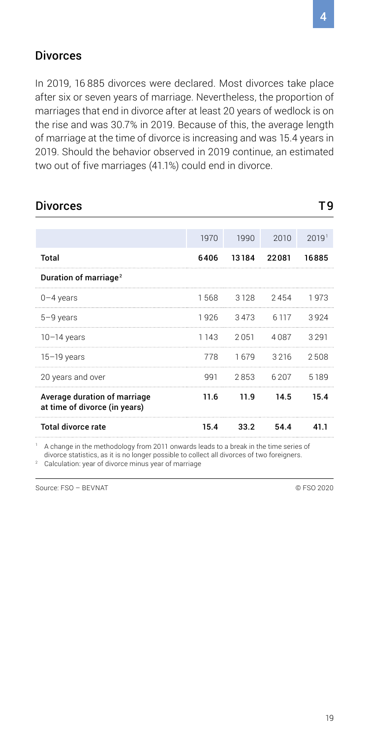#### Divorces

In 2019, 16 885 divorces were declared. Most divorces take place after six or seven years of marriage. Nevertheless, the proportion of marriages that end in divorce after at least 20 years of wedlock is on the rise and was 30.7% in 2019. Because of this, the average length of marriage at the time of divorce is increasing and was 15.4 years in 2019. Should the behavior observed in 2019 continue, an estimated two out of five marriages (41.1%) could end in divorce.

| <b>Divorces</b>                                               |         |                |       | Тq    |
|---------------------------------------------------------------|---------|----------------|-------|-------|
|                                                               |         |                |       |       |
|                                                               | 1970    | 1990           | 2010  | 2019' |
| <b>Total</b>                                                  | 6406    | 13184          | 22081 | 16885 |
| Duration of marriage <sup>2</sup>                             |         |                |       |       |
| $0 - 4$ years                                                 |         | 1568 3128 2454 |       | 1973  |
| $5 - 9$ years                                                 |         | 1926 3473 6117 |       | 3924  |
| $10-14$ years                                                 | 1 1 4 3 | 2051 4087      |       | 3291  |
| $15-19$ years                                                 | 778     | 1679 3216      |       | 2508  |
| 20 years and over                                             | 991     | 2853           | 6.207 | 5189  |
| Average duration of marriage<br>at time of divorce (in years) | 11.6    | 11.9           | 14.5  | 15.4  |
| <b>Total divorce rate</b>                                     | 15.4    | 33.2           | 54.4  | 41.1  |

1 A change in the methodology from 2011 onwards leads to a break in the time series of divorce statistics, as it is no longer possible to collect all divorces of two foreigners.

2 Calculation: year of divorce minus year of marriage

Source: FSO – BEVNAT © FSO 2020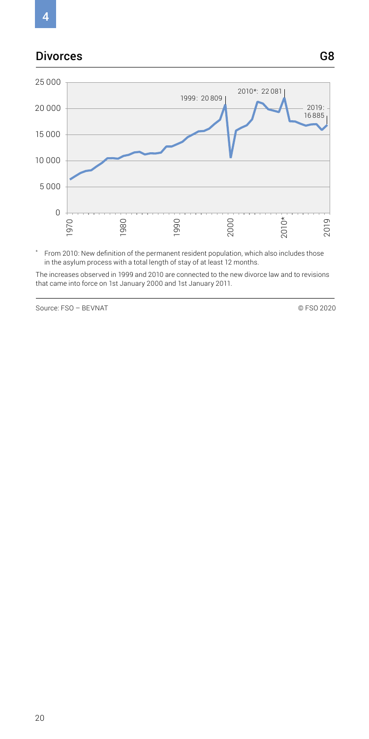# 4

#### Divorces G8



\* From 2010: New definition of the permanent resident population, which also includes those in the asylum process with a total length of stay of at least 12 months.

The increases observed in 1999 and 2010 are connected to the new divorce law and to revisions that came into force on 1st January 2000 and 1st January 2011.

Source: FSO – BEVNAT © FSO 2020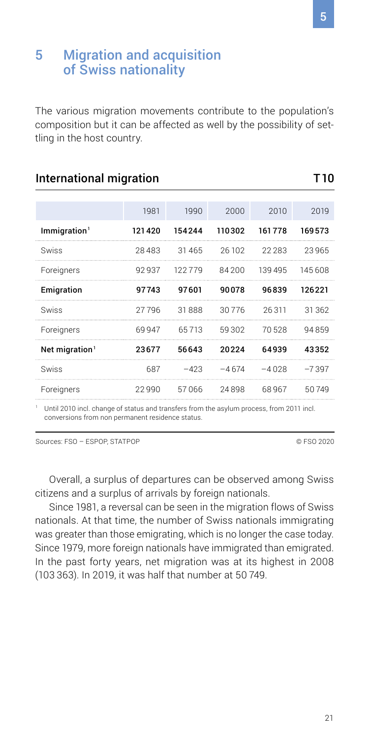#### <span id="page-20-0"></span>5 Migration and acquisition of Swiss nationality

The various migration movements contribute to the population's composition but it can be affected as well by the possibility of settling in the host country.

| 1981   | 1990   | 2000    | 2010    | 2019    |
|--------|--------|---------|---------|---------|
| 121420 | 154244 | 110302  | 161778  | 169573  |
| 28483  | 31465  | 26 102  | 22.283  | 23965   |
| 92937  | 122779 | 84200   | 139 495 | 145608  |
| 97743  | 97601  | 90078   | 96839   | 126221  |
| 27796  | 31888  | 30776   | 26311   | 31362   |
| 69947  |        | 59302   | 70528   | 94859   |
| 23677  | 56643  | 20224   | 64939   | 43352   |
| 687    | $-423$ |         | $-4028$ | $-7397$ |
| 22990  | 57066  | 24898   | 68967   | 50749   |
|        |        | 65 7 13 |         | $-4674$ |

#### International migration T10

1 Until 2010 incl. change of status and transfers from the asylum process, from 2011 incl. conversions from non permanent residence status.

Sources: FSO – ESPOP, STATPOP © FSO 2020

Overall, a surplus of departures can be observed among Swiss citizens and a surplus of arrivals by foreign nationals.

Since 1981, a reversal can be seen in the migration flows of Swiss nationals. At that time, the number of Swiss nationals immigrating was greater than those emigrating, which is no longer the case today. Since 1979, more foreign nationals have immigrated than emigrated. In the past forty years, net migration was at its highest in 2008 (103 363). In 2019, it was half that number at 50 749.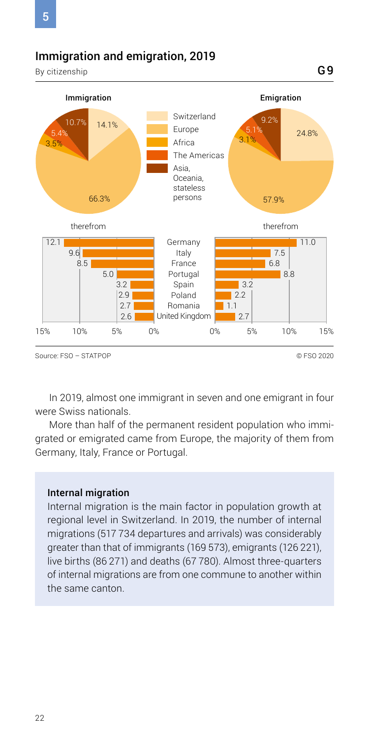#### Immigration and emigration, 2019

By citizenship



G9

In 2019, almost one immigrant in seven and one emigrant in four were Swiss nationals.

More than half of the permanent resident population who immigrated or emigrated came from Europe, the majority of them from Germany, Italy, France or Portugal.

#### Internal migration

Internal migration is the main factor in population growth at regional level in Switzerland. In 2019, the number of internal migrations (517 734 departures and arrivals) was considerably greater than that of immigrants (169 573), emigrants (126 221), live births (86 271) and deaths (67 780). Almost three-quarters of internal migrations are from one commune to another within the same canton.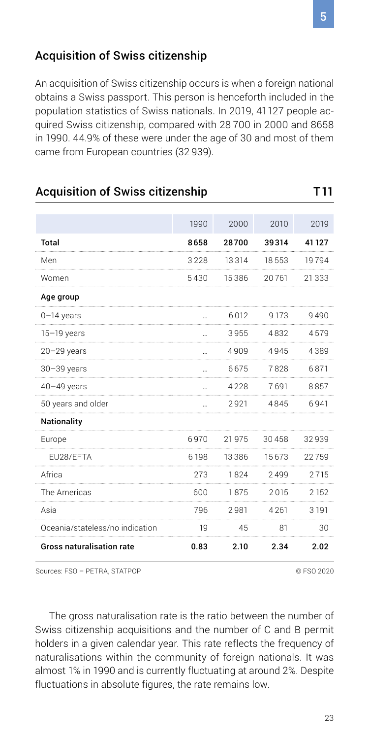#### Acquisition of Swiss citizenship

An acquisition of Swiss citizenship occurs is when a foreign national obtains a Swiss passport. This person is henceforth included in the population statistics of Swiss nationals. In 2019, 41127 people acquired Swiss citizenship, compared with 28 700 in 2000 and 8658 in 1990. 44.9% of these were under the age of 30 and most of them came from European countries (32 939).

#### Acquisition of Swiss citizenship T11

|                                  | 1990      | 2000  | 2010  | 2019     |
|----------------------------------|-----------|-------|-------|----------|
| <b>Total</b>                     | 8658      | 28700 | 39314 | 41 127   |
| Men                              | 3228      | 13314 | 18553 | 19794    |
| Women                            | 5430      | 15386 | 20761 | 21 3 3 3 |
| Age group                        |           |       |       |          |
| $0-14$ years                     |           | 6012  | 9173  | 9490     |
| $15-19$ years                    |           | 3955  | 4832  | 4579     |
| $20 - 29$ years                  |           | 4909  | 4945  | 4389     |
| $30 - 39$ years                  | $\ddotsc$ | 6675  | 7828  | 6871     |
| $40 - 49$ years                  | $\sim$    | 4228  | 7691  | 8857     |
| 50 years and older               |           | 2921  | 4845  | 6941     |
| Nationality                      |           |       |       |          |
| Europe                           | 6970      | 21975 | 30458 | 32939    |
| EU28/EFTA                        | 6198      | 13386 | 15673 | 22759    |
| Africa                           | 273       | 1824  | 2499  | 2715     |
| The Americas                     | 600       | 1875  | 2015  | 2 1 5 2  |
| Asia                             | 796       | 2981  | 4261  | 3 1 9 1  |
| Oceania/stateless/no indication  | 19        | 45    | 81    | 30       |
| <b>Gross naturalisation rate</b> | 0.83      | 2.10  | 2.34  | 2.02     |

Sources: FSO – PETRA, STATPOP © FSO 2020

The gross naturalisation rate is the ratio between the number of Swiss citizenship acquisitions and the number of C and B permit holders in a given calendar year. This rate reflects the frequency of naturalisations within the community of foreign nationals. It was almost 1% in 1990 and is currently fluctuating at around 2%. Despite fluctuations in absolute figures, the rate remains low.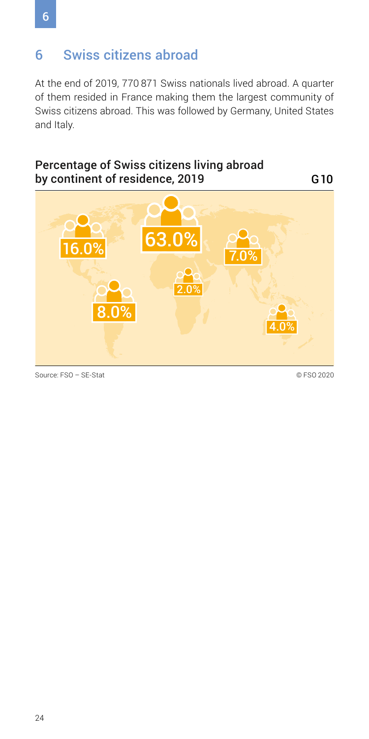# <span id="page-23-0"></span>6 Swiss citizens abroad

At the end of 2019, 770 871 Swiss nationals lived abroad. A quarter of them resided in France making them the largest community of Swiss citizens abroad. This was followed by Germany, United States and Italy.

#### Percentage of Swiss citizens living abroad by continent of residence, 2019

G10



Source: FSO – SE-Stat © FSO 2020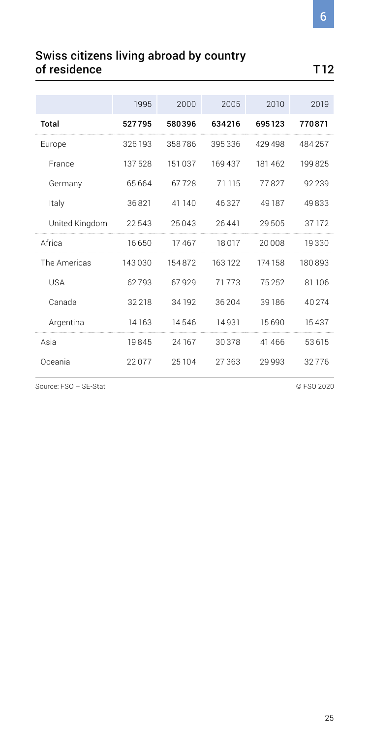#### Swiss citizens living abroad by country of residence T12

|                | 1995    | 2000    | 2005   | 2010    | 2019   |
|----------------|---------|---------|--------|---------|--------|
| Total          | 527795  | 580396  | 634216 | 695123  | 770871 |
| Europe         | 326 193 | 358786  | 395336 | 429498  | 484257 |
| France         | 137528  | 151 037 | 169437 | 181462  | 199825 |
| Germany        | 65664   | 67728   | 71 115 | 77827   | 92239  |
| Italy          | 36821   | 41 140  | 46327  | 49 187  | 49833  |
| United Kingdom | 22543   | 25043   | 26441  | 29505   | 37 172 |
| Africa         | 16650   | 17467   | 18017  | 20008   | 19330  |
| The Americas   | 143030  | 154872  | 163122 | 174 158 | 180893 |
| USA            | 62793   | 67929   | 71773  | 75252   | 81 106 |
| Canada         | 32 218  | 34 192  | 36 204 | 39186   | 40 274 |
| Argentina      | 14163   | 14546   | 14931  | 15690   | 15437  |
|                |         |         |        |         |        |
| Asia           | 19845   | 24167   | 30378  | 41466   | 53615  |

Source: FSO – SE-Stat © FSO 2020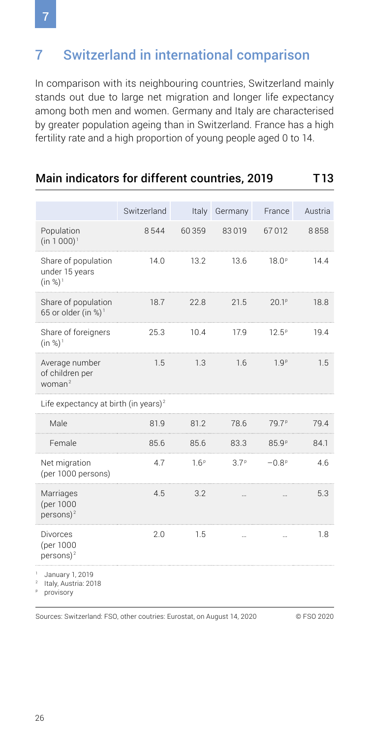# <span id="page-25-0"></span>7 Switzerland in international comparison

In comparison with its neighbouring countries, Switzerland mainly stands out due to large net migration and longer life expectancy among both men and women. Germany and Italy are characterised by greater population ageing than in Switzerland. France has a high fertility rate and a high proportion of young people aged 0 to 14.

Main indicators for different countries, 2019 T13

|                                                        | Switzerland | Italy            | Germany          | France            | Austria |
|--------------------------------------------------------|-------------|------------------|------------------|-------------------|---------|
| Population<br>$(in 1000)^T$                            | 8544        | 60359            | 83019            | 67012             | 8858    |
| Share of population<br>under 15 years<br>$(in %)^1$    | 14.0        | 13.2             | 13.6             | 18.0 <sup>p</sup> | 14.4    |
| Share of population<br>65 or older (in %) <sup>1</sup> | 18.7        | 22.8             | 21.5             | 20.1 <sup>p</sup> | 18.8    |
| Share of foreigners<br>$(in %)^1$                      | 25.3        | 10.4             | 17.9             | $12.5^{\circ}$    | 19.4    |
| Average number<br>of children per<br>$woman^2$         | 1.5         | 1.3              | 1.6              | 1.9 <sup>p</sup>  | 1.5     |
| Life expectancy at birth (in years) <sup>2</sup>       |             |                  |                  |                   |         |
| Male                                                   | 81.9        | 81.2             | 78.6             | 79.7 <sup>P</sup> | 79.4    |
| Female                                                 | 85.6        | 85.6             | 83.3             | 85.9 <sup>p</sup> | 84.1    |
| Net migration<br>(per 1000 persons)                    | 4.7         | 1.6 <sup>p</sup> | 3.7 <sup>p</sup> | $-0.8p$           | 4.6     |
| Marriages<br>(per 1000<br>persons) $2$                 | 4.5         | 3.2              |                  |                   | 5.3     |
| <b>Divorces</b><br>(per 1000<br>persons) $2$           | 2.0         | 1.5              |                  |                   | 1.8     |
| January 1, 2019<br>Italy, Austria: 2018                |             |                  |                  |                   |         |

**p** provisory

Sources: Switzerland: FSO, other coutries: Eurostat, on August 14, 2020 © FSO 2020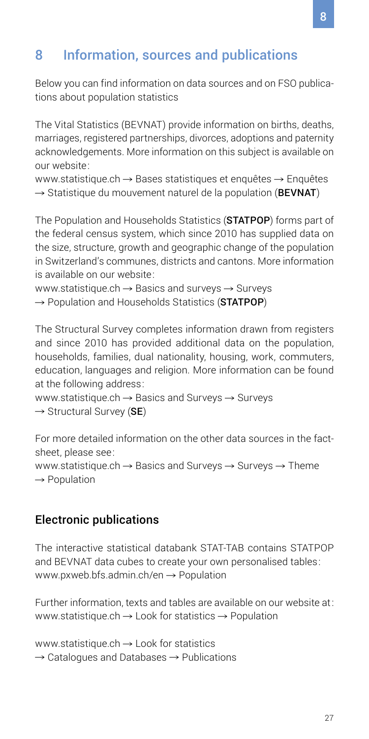# <span id="page-26-0"></span>8 Information, sources and publications

Below you can find information on data sources and on FSO publications about population statistics

The Vital Statistics (BEVNAT) provide information on births, deaths, marriages, registered partnerships, divorces, adoptions and paternity acknowledgements. More information on this subject is available on our website:

www.statistique.ch  $\rightarrow$  [Bases statistiques et enquêtes](https://www.bfs.admin.ch/bfs/fr/home/statistiques/population/enquetes/bevnat.html)  $\rightarrow$  Enquêtes  $\rightarrow$  [Statistique du mouvement naturel de la population \(](https://www.bfs.admin.ch/bfs/fr/home/statistiques/population/enquetes/bevnat.html)BEVNAT)

The Population and Households Statistics (STATPOP) forms part of the federal census system, which since 2010 has supplied data on the size, structure, growth and geographic change of the population in Switzerland's communes, districts and cantons. More information is available on our website:

www.statistique.ch  $\rightarrow$  [Basics and surveys](https://www.bfs.admin.ch/bfs/en/home/statistics/population/surveys/statpop.html)  $\rightarrow$  Surveys  $\rightarrow$  [Population and Households Statistics \(](https://www.bfs.admin.ch/bfs/en/home/statistics/population/surveys/statpop.html)STATPOP)

The Structural Survey completes information drawn from registers and since 2010 has provided additional data on the population, households, families, dual nationality, housing, work, commuters, education, languages and religion. More information can be found at the following address:

www.statistique.ch  $\rightarrow$  [Basics and Surveys](https://www.bfs.admin.ch/bfs/en/home/statistics/population/surveys/se.html)  $\rightarrow$  Surveys  $\rightarrow$  [Structural Survey \(](https://www.bfs.admin.ch/bfs/en/home/statistics/population/surveys/se.html)SE)

For more detailed information on the other data sources in the factsheet, please see: www.statistique.ch  $\rightarrow$  [Basics and Surveys](https://www.bfs.admin.ch/bfs/en/home/basics/surveys.html?dyn_prodima=900010)  $\rightarrow$  Surveys  $\rightarrow$  Theme  $\rightarrow$  [Population](https://www.bfs.admin.ch/bfs/en/home/basics/surveys.html?dyn_prodima=900010)

#### Electronic publications

The interactive statistical databank STAT-TAB contains STATPOP and BEVNAT data cubes to create your own personalised tables: www.pxweb.bfs.admin.ch/en  $\rightarrow$  Population

Further information, texts and tables are available on our website at: [www.statistique.ch](https://www.bfs.admin.ch/bfs/en/home/statistics/population.html)  $\rightarrow$  Look for statistics  $\rightarrow$  Population

[www.statistique.ch](https://www.bfs.admin.ch/bfs/en/home/statistics/catalogues-databases/publications.html)  $\rightarrow$  Look for statistics  $\rightarrow$  [Catalogues and Databases](https://www.bfs.admin.ch/bfs/en/home/statistics/catalogues-databases/publications.html)  $\rightarrow$  Publications